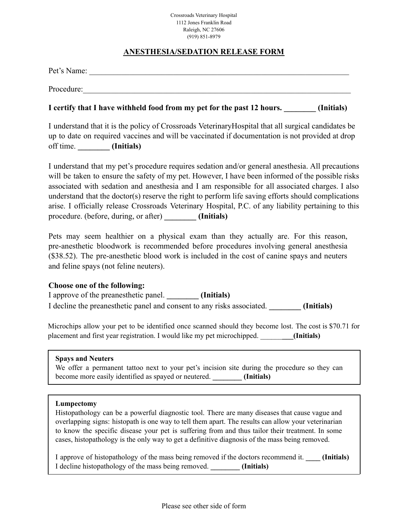#### Crossroads Veterinary Hospital 1112 Jones Franklin Road Raleigh, NC 27606 (919) 851-8979

# **ANESTHESIA/SEDATION RELEASE FORM**

| Pet's Name:                                                                                                                                                                                             |            |
|---------------------------------------------------------------------------------------------------------------------------------------------------------------------------------------------------------|------------|
| Procedure:                                                                                                                                                                                              |            |
| I certify that I have withheld food from my pet for the past 12 hours.                                                                                                                                  | (Initials) |
| I understand that it is the policy of Crossroads Veterinary Hospital that all surgical candidates be<br>up to date on required vaccines and will be vaccinated if documentation is not provided at drop |            |

I understand that my pet's procedure requires sedation and/or general anesthesia. All precautions will be taken to ensure the safety of my pet. However, I have been informed of the possible risks associated with sedation and anesthesia and I am responsible for all associated charges. I also understand that the doctor(s) reserve the right to perform life saving efforts should complications arise. I officially release Crossroads Veterinary Hospital, P.C. of any liability pertaining to this procedure. (before, during, or after) **\_\_\_\_\_\_\_\_ (Initials)**

Pets may seem healthier on a physical exam than they actually are. For this reason, pre-anesthetic bloodwork is recommended before procedures involving general anesthesia (\$38.52). The pre-anesthetic blood work is included in the cost of canine spays and neuters and feline spays (not feline neuters).

# **Choose one of the following:**

I approve of the preanesthetic panel. **\_\_\_\_\_\_\_\_ (Initials)**

I decline the preanesthetic panel and consent to any risks associated. **\_\_\_\_\_\_\_\_ (Initials)**

Microchips allow your pet to be identified once scanned should they become lost. The cost is \$70.71 for placement and first year registration. I would like my pet microchipped. \_\_\_\_\_\_**\_\_\_(Initials)**

#### **Spays and Neuters**

We offer a permanent tattoo next to your pet's incision site during the procedure so they can become more easily identified as spayed or neutered. **\_\_\_\_\_\_\_\_ (Initials)**

#### **Lumpectomy**

Histopathology can be a powerful diagnostic tool. There are many diseases that cause vague and overlapping signs: histopath is one way to tell them apart. The results can allow your veterinarian to know the specific disease your pet is suffering from and thus tailor their treatment. In some cases, histopathology is the only way to get a definitive diagnosis of the mass being removed.

I approve of histopathology of the mass being removed if the doctors recommend it. **\_\_\_\_ (Initials)** I decline histopathology of the mass being removed. **\_\_\_\_\_\_\_\_ (Initials)**